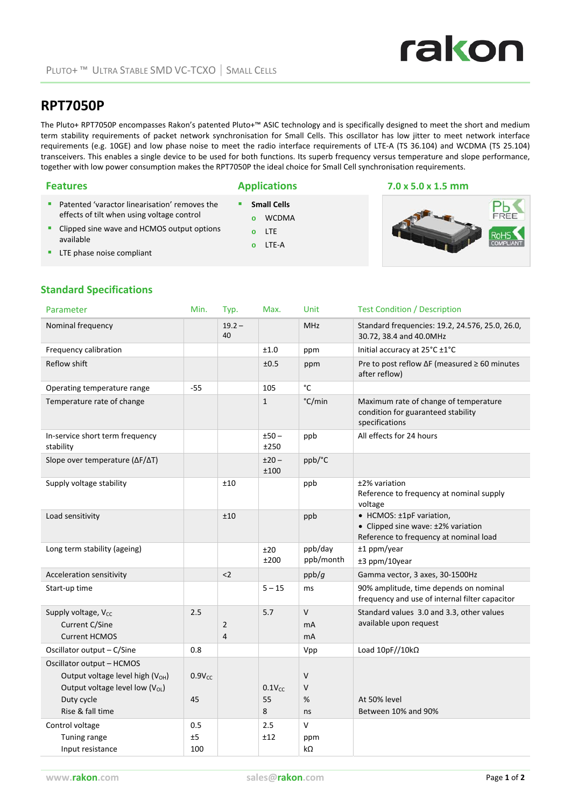

# **RPT7050P**

The Pluto+ RPT7050P encompasses Rakon's patented Pluto+™ ASIC technology and is specifically designed to meet the short and medium term stability requirements of packet network synchronisation for Small Cells. This oscillator has low jitter to meet network interface requirements (e.g. 10GE) and low phase noise to meet the radio interface requirements of LTE‐A (TS 36.104) and WCDMA (TS 25.104) transceivers. This enables a single device to be used for both functions. Its superb frequency versus temperature and slope performance, together with low power consumption makes the RPT7050P the ideal choice for Small Cell synchronisation requirements.

available

- **Small Cells** 
	- **o** WCDMA **o** LTE
	-
	- **o** LTE‐A

#### **Features Applications 7.0 x 5.0 x 1.5 mm**



**LTE** phase noise compliant

**Patented 'varactor linearisation' removes the** effects of tilt when using voltage control **Clipped sine wave and HCMOS output options** 

## **Standard Specifications**

| Parameter                                                                                                                                                  | Min.              | Typ.                             | Max.                   | Unit                           | <b>Test Condition / Description</b>                                                                      |
|------------------------------------------------------------------------------------------------------------------------------------------------------------|-------------------|----------------------------------|------------------------|--------------------------------|----------------------------------------------------------------------------------------------------------|
| Nominal frequency                                                                                                                                          |                   | $19.2 -$<br>40                   |                        | <b>MHz</b>                     | Standard frequencies: 19.2, 24.576, 25.0, 26.0,<br>30.72, 38.4 and 40.0MHz                               |
| Frequency calibration                                                                                                                                      |                   |                                  | ±1.0                   | ppm                            | Initial accuracy at 25°C ±1°C                                                                            |
| Reflow shift                                                                                                                                               |                   |                                  | ±0.5                   | ppm                            | Pre to post reflow $\Delta F$ (measured $\geq 60$ minutes<br>after reflow)                               |
| Operating temperature range                                                                                                                                | $-55$             |                                  | 105                    | °C                             |                                                                                                          |
| Temperature rate of change                                                                                                                                 |                   |                                  | $\mathbf{1}$           | °C/min                         | Maximum rate of change of temperature<br>condition for guaranteed stability<br>specifications            |
| In-service short term frequency<br>stability                                                                                                               |                   |                                  | $±50-$<br>±250         | ppb                            | All effects for 24 hours                                                                                 |
| Slope over temperature (ΔF/ΔT)                                                                                                                             |                   |                                  | $±20-$<br>±100         | ppb/°C                         |                                                                                                          |
| Supply voltage stability                                                                                                                                   |                   | ±10                              |                        | ppb                            | ±2% variation<br>Reference to frequency at nominal supply<br>voltage                                     |
| Load sensitivity                                                                                                                                           |                   | ±10                              |                        | ppb                            | • HCMOS: ±1pF variation,<br>• Clipped sine wave: ±2% variation<br>Reference to frequency at nominal load |
| Long term stability (ageing)                                                                                                                               |                   |                                  | ±20<br>±200            | ppb/day<br>ppb/month           | ±1 ppm/year<br>±3 ppm/10year                                                                             |
| Acceleration sensitivity                                                                                                                                   |                   | $2$                              |                        | ppb/g                          | Gamma vector, 3 axes, 30-1500Hz                                                                          |
| Start-up time                                                                                                                                              |                   |                                  | $5 - 15$               | ms                             | 90% amplitude, time depends on nominal<br>frequency and use of internal filter capacitor                 |
| Supply voltage, Vcc<br>Current C/Sine<br><b>Current HCMOS</b>                                                                                              | 2.5               | $\overline{2}$<br>$\overline{4}$ | 5.7                    | $\vee$<br>m <sub>A</sub><br>mA | Standard values 3.0 and 3.3, other values<br>available upon request                                      |
| Oscillator output - C/Sine                                                                                                                                 | 0.8               |                                  |                        | Vpp                            | Load $10pF//10k\Omega$                                                                                   |
| Oscillator output - HCMOS<br>Output voltage level high (V <sub>OH</sub> )<br>Output voltage level low (V <sub>OL</sub> )<br>Duty cycle<br>Rise & fall time | $0.9V_{CC}$<br>45 |                                  | $0.1V_{CC}$<br>55<br>8 | $\vee$<br>V<br>%<br>ns         | At 50% level<br>Between 10% and 90%                                                                      |
| Control voltage<br>Tuning range<br>Input resistance                                                                                                        | 0.5<br>±5<br>100  |                                  | 2.5<br>±12             | V<br>ppm<br>kΩ                 |                                                                                                          |